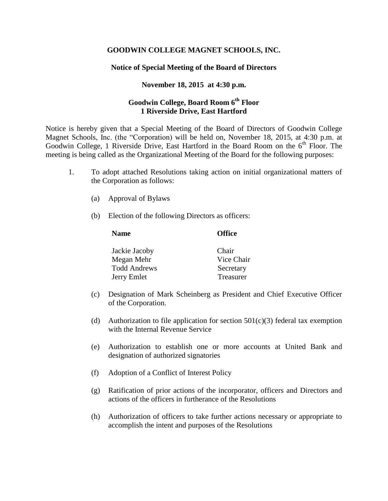## **GOODWIN COLLEGE MAGNET SCHOOLS, INC.**

## **Notice of Special Meeting of the Board of Directors**

## **November 18, 2015 at 4:30 p.m.**

# **Goodwin College, Board Room 6th Floor 1 Riverside Drive, East Hartford**

Notice is hereby given that a Special Meeting of the Board of Directors of Goodwin College Magnet Schools, Inc. (the "Corporation) will be held on, November 18, 2015, at 4:30 p.m. at Goodwin College, 1 Riverside Drive, East Hartford in the Board Room on the  $6<sup>th</sup>$  Floor. The meeting is being called as the Organizational Meeting of the Board for the following purposes:

- 1. To adopt attached Resolutions taking action on initial organizational matters of the Corporation as follows:
	- (a) Approval of Bylaws
	- (b) Election of the following Directors as officers:

### **Name Office**

| Jackie Jacoby | Chair            |
|---------------|------------------|
| Megan Mehr    | Vice Chair       |
| Todd Andrews  | Secretary        |
| Jerry Emlet   | <b>Treasurer</b> |

- (c) Designation of Mark Scheinberg as President and Chief Executive Officer of the Corporation.
- (d) Authorization to file application for section  $501(c)(3)$  federal tax exemption with the Internal Revenue Service
- (e) Authorization to establish one or more accounts at United Bank and designation of authorized signatories
- (f) Adoption of a Conflict of Interest Policy
- (g) Ratification of prior actions of the incorporator, officers and Directors and actions of the officers in furtherance of the Resolutions
- (h) Authorization of officers to take further actions necessary or appropriate to accomplish the intent and purposes of the Resolutions